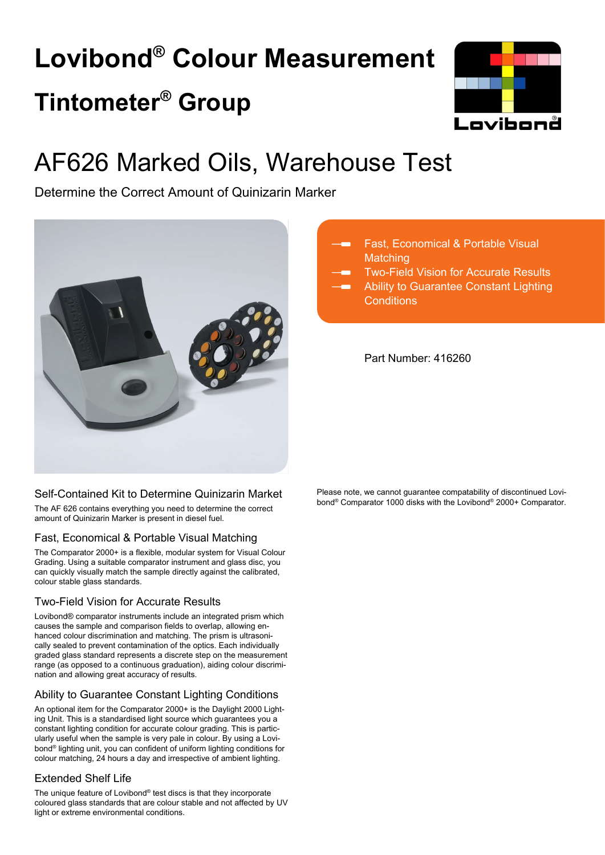# **Lovibond® Colour Measurement Tintometer® Group**



## AF626 Marked Oils, Warehouse Test

Determine the Correct Amount of Quinizarin Marker



### Self-Contained Kit to Determine Quinizarin Market

The AF 626 contains everything you need to determine the correct amount of Quinizarin Marker is present in diesel fuel.

### Fast, Economical & Portable Visual Matching

The Comparator 2000+ is a flexible, modular system for Visual Colour Grading. Using a suitable comparator instrument and glass disc, you can quickly visually match the sample directly against the calibrated, colour stable glass standards.

### Two-Field Vision for Accurate Results

Lovibond® comparator instruments include an integrated prism which causes the sample and comparison fields to overlap, allowing enhanced colour discrimination and matching. The prism is ultrasonically sealed to prevent contamination of the optics. Each individually graded glass standard represents a discrete step on the measurement range (as opposed to a continuous graduation), aiding colour discrimination and allowing great accuracy of results.

### Ability to Guarantee Constant Lighting Conditions

An optional item for the Comparator 2000+ is the Daylight 2000 Lighting Unit. This is a standardised light source which guarantees you a constant lighting condition for accurate colour grading. This is particularly useful when the sample is very pale in colour. By using a Lovibond® lighting unit, you can confident of uniform lighting conditions for colour matching, 24 hours a day and irrespective of ambient lighting.

### Extended Shelf Life

The unique feature of Lovibond® test discs is that they incorporate coloured glass standards that are colour stable and not affected by UV light or extreme environmental conditions.

- Fast, Economical & Portable Visual **Matching**
- Two-Field Vision for Accurate Results Ability to Guarantee Constant Lighting
- **Conditions**

Part Number: 416260

Please note, we cannot guarantee compatability of discontinued Lovibond® Comparator 1000 disks with the Lovibond® 2000+ Comparator.